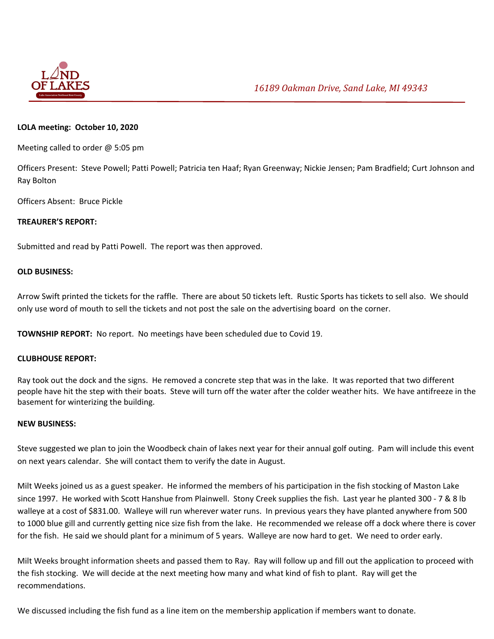

# **LOLA meeting: October 10, 2020**

Meeting called to order @ 5:05 pm

Officers Present: Steve Powell; Patti Powell; Patricia ten Haaf; Ryan Greenway; Nickie Jensen; Pam Bradfield; Curt Johnson and Ray Bolton

Officers Absent: Bruce Pickle

## **TREAURER'S REPORT:**

Submitted and read by Patti Powell. The report was then approved.

### **OLD BUSINESS:**

Arrow Swift printed the tickets for the raffle. There are about 50 tickets left. Rustic Sports has tickets to sell also. We should only use word of mouth to sell the tickets and not post the sale on the advertising board on the corner.

**TOWNSHIP REPORT:** No report. No meetings have been scheduled due to Covid 19.

### **CLUBHOUSE REPORT:**

Ray took out the dock and the signs. He removed a concrete step that was in the lake. It was reported that two different people have hit the step with their boats. Steve will turn off the water after the colder weather hits. We have antifreeze in the basement for winterizing the building.

### **NEW BUSINESS:**

Steve suggested we plan to join the Woodbeck chain of lakes next year for their annual golf outing. Pam will include this event on next years calendar. She will contact them to verify the date in August.

Milt Weeks joined us as a guest speaker. He informed the members of his participation in the fish stocking of Maston Lake since 1997. He worked with Scott Hanshue from Plainwell. Stony Creek supplies the fish. Last year he planted 300 ‐ 7 & 8 lb walleye at a cost of \$831.00. Walleye will run wherever water runs. In previous years they have planted anywhere from 500 to 1000 blue gill and currently getting nice size fish from the lake. He recommended we release off a dock where there is cover for the fish. He said we should plant for a minimum of 5 years. Walleye are now hard to get. We need to order early.

Milt Weeks brought information sheets and passed them to Ray. Ray will follow up and fill out the application to proceed with the fish stocking. We will decide at the next meeting how many and what kind of fish to plant. Ray will get the recommendations.

We discussed including the fish fund as a line item on the membership application if members want to donate.